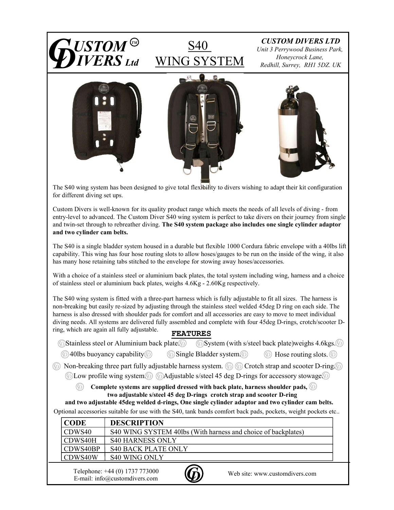

The S40 wing system has been designed to give total flexibility to divers wishing to adapt their kit configuration for different diving set ups.

entry-level to advanced. The Custom Diver S40 wing system is perfect to take divers on their journey from single and twin-set through to rebreather diving. The S40 system package also includes one single cylinder adaptor and two cylinder cam belts.

capability. This wing has four hose routing slots to allow hoses/gauges to be run on the inside of the wing, it also has many hose retaining tabs stitched to the envelope for stowing away hoses/accessories.

Custom Divers is well-known for its quality product range which meets the needs of all levels of driving-from<br>entry-level to advanced. The Castom Diver S40 wing system is perfect to take divers on their journey from singl If the system meast the neess of all levels of anying - from<br>the system is perfect to take divers on their journey from single<br>
7. The S40 system package also includes one single cylinder adaptor<br>
2. The S40 system package **m belts.**<br> **Solution** and solution of the signals to the system and the signal and the signal has four hose solution and the signals is to be run on the inside of the wing, it also has four hose slowed be the corologe fo 840 is a single bladder system housed in a durable but flexible 1000 Cordura fabric envelope with a 40lbs lift<br>bility. This wing has four hose conting slots to allow boses/gauges to be run on the inside of the wing, it al non-breaking but easily re-sized by adjusting through the stainless steel welded 45deg D ring on each side. The harness is also dressed with shoulder pads for comfort and all accessories are easy to move to meet individual The S40 wing system assembled to give total flexibility to divers wishing to adapt their kit configuration<br>for different diving set ups.<br>Custom Divers is well-known for its quality product range which ments the needs of al ring, which are again all fully adjustable.

| Alumınıum<br>back plate.<br>Stainless<br>stee'<br>. or | 'stem<br>$-$ | $int$ ataal<br>′ with ∴<br>~<br>$\mathbf{u}$ | back plate weighs | -4.6kgs. |  |
|--------------------------------------------------------|--------------|----------------------------------------------|-------------------|----------|--|
|                                                        |              |                                              |                   |          |  |

 $\circledS$   $\,$  Complete systems are supplied dressed with back plate, harness shoulder pads,  $\circledS$   $\,$ 

|                                                        | as many hose retaining tabs stitched to the envelope for stowing away hoses/accessories.                                                                                                                                                                                                                                                                                                                                                                                                  |  |  |  |  |  |
|--------------------------------------------------------|-------------------------------------------------------------------------------------------------------------------------------------------------------------------------------------------------------------------------------------------------------------------------------------------------------------------------------------------------------------------------------------------------------------------------------------------------------------------------------------------|--|--|--|--|--|
|                                                        | Tith a choice of a stainless steel or aluminium back plates, the total system including wing, harness and a choice<br>f stainless steel or aluminium back plates, weighs 4.6Kg - 2.60Kg respectively.                                                                                                                                                                                                                                                                                     |  |  |  |  |  |
| ng, which are again all fully adjustable.              | he S40 wing system is fitted with a three-part harness which is fully adjustable to fit all sizes. The harness is<br>on-breaking but easily re-sized by adjusting through the stainless steel welded 45deg D ring on each side. The<br>arness is also dressed with shoulder pads for comfort and all accessories are easy to move to meet individual<br>iving needs. All systems are delivered fully assembled and complete with four 45deg D-rings, crotch/scooter D-<br><b>FEATURES</b> |  |  |  |  |  |
|                                                        | <b>6</b> Stainless steel or Aluminium back plate.<br><b>5</b> System (with s/steel back plate) weighs 4.6kgs.                                                                                                                                                                                                                                                                                                                                                                             |  |  |  |  |  |
| 40lbs buoyancy capability $\circledS$<br>$(\circledr)$ | $\circledcirc$ Single Bladder system. $\circledcirc$<br>$\mathcal{C}$<br>Hose routing slots. $\circledcirc$                                                                                                                                                                                                                                                                                                                                                                               |  |  |  |  |  |
|                                                        | Non-breaking three part fully adjustable harness system. $\circledS$ $\circledS$ Crotch strap and scooter D-ring $\circledS$<br>$\circledB$ Low profile wing system $\circledB$ $\circledB$ Adjustable s/steel 45 deg D-rings for accessory stowage $\circledB$<br>Complete systems are supplied dressed with back plate, harness shoulder pads, $\circledcirc$                                                                                                                           |  |  |  |  |  |
|                                                        | two adjustable s/steel 45 deg D-rings crotch strap and scooter D-ring<br>and two adjustable 45deg welded d-rings, One single cylinder adaptor and two cylinder cam belts.                                                                                                                                                                                                                                                                                                                 |  |  |  |  |  |
|                                                        | optional accessories suitable for use with the S40, tank bands comfort back pads, pockets, weight pockets etc                                                                                                                                                                                                                                                                                                                                                                             |  |  |  |  |  |
| <b>CODE</b>                                            | <b>DESCRIPTION</b>                                                                                                                                                                                                                                                                                                                                                                                                                                                                        |  |  |  |  |  |
| CDWS40                                                 | S40 WING SYSTEM 40lbs (With harness and choice of backplates)                                                                                                                                                                                                                                                                                                                                                                                                                             |  |  |  |  |  |
| CDWS40H                                                | <b>S40 HARNESS ONLY</b>                                                                                                                                                                                                                                                                                                                                                                                                                                                                   |  |  |  |  |  |
| CDWS40BP                                               | <b>S40 BACK PLATE ONLY</b>                                                                                                                                                                                                                                                                                                                                                                                                                                                                |  |  |  |  |  |
| CDWS40W                                                | <b>S40 WING ONLY</b>                                                                                                                                                                                                                                                                                                                                                                                                                                                                      |  |  |  |  |  |
|                                                        | Telephone: +44 (0) 1737 773000<br>Web site: www.customdivers.com<br>E-mail: info@customdivers.com                                                                                                                                                                                                                                                                                                                                                                                         |  |  |  |  |  |

E-mail: info@customdivers.com Telephone: +44 (0) 1737 773000 Web site: www.customdivers.com CD